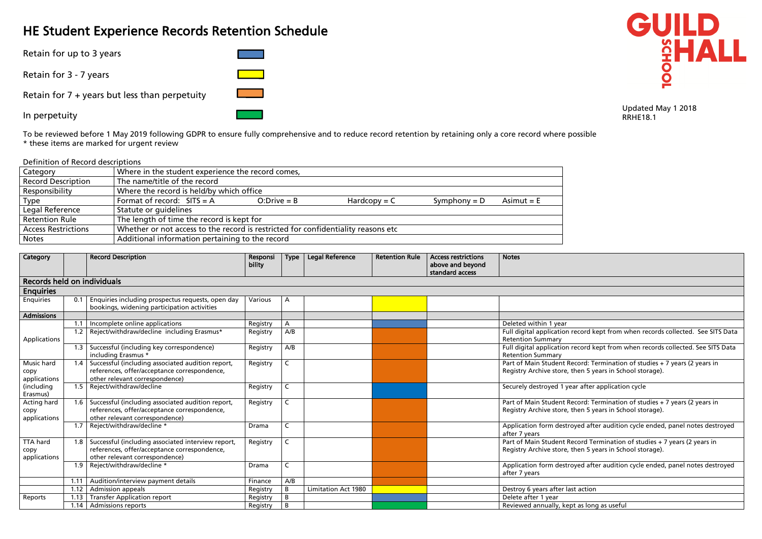# HE Student Experience Records Retention Schedule

Retain for up to 3 years

Retain for 3 - 7 years

Retain for 7 + years but less than perpetuity

In perpetuity

To be reviewed before 1 May 2019 following GDPR to ensure fully comprehensive and to reduce record retention by retaining only a core record where possible \* these items are marked for urgent review

# Definition of Record descriptions

| Category                   | Where in the student experience the record comes,                                 |                |                |                |              |  |  |  |  |  |
|----------------------------|-----------------------------------------------------------------------------------|----------------|----------------|----------------|--------------|--|--|--|--|--|
| <b>Record Description</b>  | The name/title of the record                                                      |                |                |                |              |  |  |  |  |  |
| Responsibility             | Where the record is held/by which office                                          |                |                |                |              |  |  |  |  |  |
| Type                       | Format of record: $SITS = A$                                                      | $O: Drive = B$ | $Hardcopy = C$ | Symphony $= D$ | Asimut $=$ E |  |  |  |  |  |
| Legal Reference            | Statute or guidelines                                                             |                |                |                |              |  |  |  |  |  |
| <b>Retention Rule</b>      | The length of time the record is kept for                                         |                |                |                |              |  |  |  |  |  |
| <b>Access Restrictions</b> | Whether or not access to the record is restricted for confidentiality reasons etc |                |                |                |              |  |  |  |  |  |
| <b>Notes</b>               | Additional information pertaining to the record                                   |                |                |                |              |  |  |  |  |  |

| Category                                |      | <b>Record Description</b>                                                                                                            | Responsi<br>bility | <b>Type</b>  | <b>Legal Reference</b>     | <b>Retention Rule</b> | <b>Access restrictions</b><br>above and beyond<br>standard access | <b>Notes</b>                                                                            |
|-----------------------------------------|------|--------------------------------------------------------------------------------------------------------------------------------------|--------------------|--------------|----------------------------|-----------------------|-------------------------------------------------------------------|-----------------------------------------------------------------------------------------|
| Records held on individuals             |      |                                                                                                                                      |                    |              |                            |                       |                                                                   |                                                                                         |
| <b>Enquiries</b>                        |      |                                                                                                                                      |                    |              |                            |                       |                                                                   |                                                                                         |
| Enquiries                               | 0.1  | Enquiries including prospectus requests, open day<br>bookings, widening participation activities                                     | Various            | A            |                            |                       |                                                                   |                                                                                         |
| <b>Admissions</b>                       |      |                                                                                                                                      |                    |              |                            |                       |                                                                   |                                                                                         |
|                                         | 1.1  | Incomplete online applications                                                                                                       | Registry           | A            |                            |                       |                                                                   | Deleted within 1 year                                                                   |
| Applications                            | 1.2  | Reject/withdraw/decline including Erasmus*                                                                                           | Registry           | A/B          |                            |                       |                                                                   | Full digital application record kept from v<br><b>Retention Summary</b>                 |
|                                         | 1.3  | Successful (including key correspondence)<br>including Erasmus *                                                                     | Registry           | A/B          |                            |                       |                                                                   | Full digital application record kept from v<br><b>Retention Summary</b>                 |
| Music hard<br>copy<br>applications      | 1.4  | Successful (including associated audition report,<br>references, offer/acceptance correspondence,<br>other relevant correspondence)  | Registry           | C            |                            |                       |                                                                   | Part of Main Student Record: Terminatior<br>Registry Archive store, then 5 years in Sch |
| (including<br>Erasmus)                  | 1.5  | Reject/withdraw/decline                                                                                                              | Registry           | C            |                            |                       |                                                                   | Securely destroyed 1 year after applicatio                                              |
| Acting hard<br>copy<br>applications     | 1.6  | Successful (including associated audition report,<br>references, offer/acceptance correspondence,<br>other relevant correspondence)  | Registry           | $\mathsf{C}$ |                            |                       |                                                                   | Part of Main Student Record: Terminatior<br>Registry Archive store, then 5 years in Sch |
|                                         | 1.7  | Reject/withdraw/decline *                                                                                                            | Drama              | $\mathsf{C}$ |                            |                       |                                                                   | Application form destroyed after auditior<br>after 7 years                              |
| <b>TTA hard</b><br>copy<br>applications | 1.8  | Successful (including associated interview report,<br>references, offer/acceptance correspondence,<br>other relevant correspondence) | Registry           | C.           |                            |                       |                                                                   | Part of Main Student Record Termination<br>Registry Archive store, then 5 years in Sch  |
|                                         | 1.9  | Reject/withdraw/decline *                                                                                                            | Drama              | $\mathsf{C}$ |                            |                       |                                                                   | Application form destroyed after auditior<br>after 7 years                              |
|                                         | 1.11 | Audition/interview payment details                                                                                                   | Finance            | A/B          |                            |                       |                                                                   |                                                                                         |
|                                         | 1.12 | <b>Admission appeals</b>                                                                                                             | Registry           | B            | <b>Limitation Act 1980</b> |                       |                                                                   | Destroy 6 years after last action                                                       |
| Reports                                 | 1.13 | <b>Transfer Application report</b>                                                                                                   | Registry           | B            |                            |                       |                                                                   | Delete after 1 year                                                                     |
|                                         | 1.14 | <b>Admissions reports</b>                                                                                                            | Registry           | B            |                            |                       |                                                                   | Reviewed annually, kept as long as useful                                               |



Updated May 1 2018 RRHE18.1

ecord kept from when records collected. See SITS Data

record kept from when records collected. See SITS Data

Record: Termination of studies + 7 years (2 years in hen 5 years in School storage).

ar after application cycle

Record: Termination of studies + 7 years (2 years in hen 5 years in School storage).

1.7 yed after audition cycle ended, panel notes destroyed

Record Termination of studies + 7 years (2 years in hen 5 years in School storage).

letaged after audition cycle ended, panel notes destroyed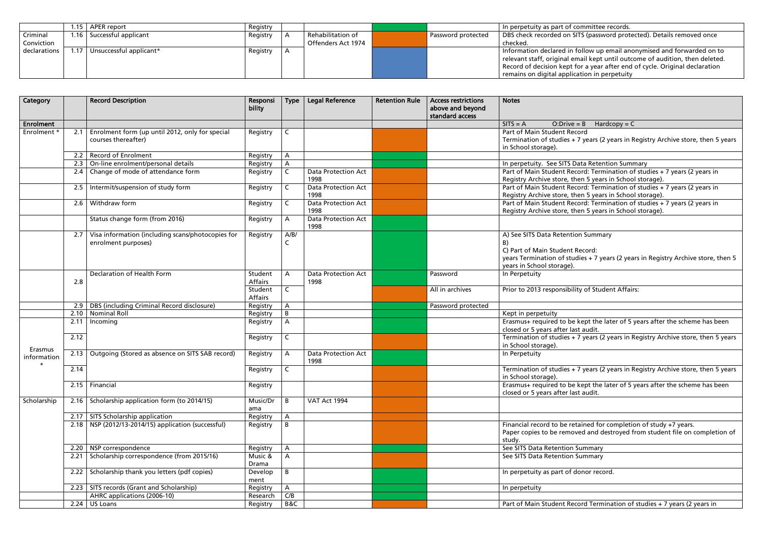|              | l.15 | APER report             | Registry |                    |                    | In perpetuity as part of committee records.   |
|--------------|------|-------------------------|----------|--------------------|--------------------|-----------------------------------------------|
| Criminal     | ⊢.16 | Successful applicant    | Registry | Rehabilitation of  | Password protected | DBS check recorded on SITS (password prot     |
| Conviction   |      |                         |          | Offenders Act 1974 |                    | checked.                                      |
| declarations | 1.17 | Unsuccessful applicant* | Registry |                    |                    | Information declared in follow up email ar    |
|              |      |                         |          |                    |                    | relevant staff, original email kept until out |
|              |      |                         |          |                    |                    | Record of decision kept for a year after ene  |
|              |      |                         |          |                    |                    | remains on digital application in perpetuit   |

| Category               |      | <b>Record Description</b>                                                | Responsi<br>bility        | <b>Type</b>  | <b>Legal Reference</b>             | <b>Retention Rule</b> | <b>Access restrictions</b><br>above and beyond<br>standard access | <b>Notes</b>                                                                                                                                |
|------------------------|------|--------------------------------------------------------------------------|---------------------------|--------------|------------------------------------|-----------------------|-------------------------------------------------------------------|---------------------------------------------------------------------------------------------------------------------------------------------|
| Enrolment              |      |                                                                          |                           |              |                                    |                       |                                                                   | $SITS = A$<br>$O: Drive = B$ Ha                                                                                                             |
| Enrolment *            | 2.1  | Enrolment form (up until 2012, only for special<br>courses thereafter)   | Registry                  | $\mathsf{C}$ |                                    |                       |                                                                   | Part of Main Student Record<br>Termination of studies + 7 years (<br>in School storage).                                                    |
|                        | 2.2  | <b>Record of Enrolment</b>                                               | Registry                  | A            |                                    |                       |                                                                   |                                                                                                                                             |
|                        | 2.3  | On-line enrolment/personal details                                       | Registry                  | A            |                                    |                       |                                                                   | In perpetuity. See SITS Data Reter                                                                                                          |
|                        | 2.4  | Change of mode of attendance form                                        | Registry                  | $\mathsf C$  | <b>Data Protection Act</b><br>1998 |                       |                                                                   | Part of Main Student Record: Terr<br>Registry Archive store, then 5 yea                                                                     |
|                        | 2.5  | Intermit/suspension of study form                                        | Registry                  | $\mathsf{C}$ | <b>Data Protection Act</b><br>1998 |                       |                                                                   | Part of Main Student Record: Terr<br>Registry Archive store, then 5 yea                                                                     |
|                        | 2.6  | Withdraw form                                                            | Registry                  | $\mathsf{C}$ | <b>Data Protection Act</b><br>1998 |                       |                                                                   | Part of Main Student Record: Terr<br>Registry Archive store, then 5 yea                                                                     |
|                        |      | Status change form (from 2016)                                           | Registry                  | A            | <b>Data Protection Act</b><br>1998 |                       |                                                                   |                                                                                                                                             |
|                        | 2.7  | Visa information (including scans/photocopies for<br>enrolment purposes) | Registry                  | A/B/<br>C    |                                    |                       |                                                                   | A) See SITS Data Retention Summ<br>B)<br>C) Part of Main Student Record:<br>years Termination of studies + 7 y<br>years in School storage). |
|                        |      | Declaration of Health Form                                               | Student                   | A            | <b>Data Protection Act</b>         |                       | Password                                                          | In Perpetuity                                                                                                                               |
|                        | 2.8  |                                                                          | <b>Affairs</b>            |              | 1998                               |                       |                                                                   |                                                                                                                                             |
|                        |      |                                                                          | Student<br><b>Affairs</b> | $\mathsf{C}$ |                                    |                       | All in archives                                                   | Prior to 2013 responsibility of Stud                                                                                                        |
|                        | 2.9  | DBS (including Criminal Record disclosure)                               | Registry                  | A            |                                    |                       | Password protected                                                |                                                                                                                                             |
|                        | 2.10 | <b>Nominal Roll</b>                                                      | Registry                  | B            |                                    |                       |                                                                   | Kept in perpetuity                                                                                                                          |
|                        | 2.11 | Incoming                                                                 | Registry                  | $\mathsf{A}$ |                                    |                       |                                                                   | Erasmus+ required to be kept the<br>closed or 5 years after last audit.                                                                     |
| Erasmus                | 2.12 |                                                                          | Registry                  | $\mathsf{C}$ |                                    |                       |                                                                   | Termination of studies + 7 years (<br>in School storage).                                                                                   |
| information<br>$\star$ | 2.13 | Outgoing (Stored as absence on SITS SAB record)                          | Registry                  | A            | <b>Data Protection Act</b><br>1998 |                       |                                                                   | In Perpetuity                                                                                                                               |
|                        | 2.14 |                                                                          | Registry                  | $\mathsf{C}$ |                                    |                       |                                                                   | Termination of studies $+ 7$ years (<br>in School storage).                                                                                 |
|                        |      | $2.15$   Financial                                                       | Registry                  |              |                                    |                       |                                                                   | Erasmus+ required to be kept the<br>closed or 5 years after last audit.                                                                     |
| Scholarship            | 2.16 | Scholarship application form (to 2014/15)                                | Music/Dr<br>ama           | B            | VAT Act 1994                       |                       |                                                                   |                                                                                                                                             |
|                        | 2.17 | SITS Scholarship application                                             | Registry                  | A            |                                    |                       |                                                                   |                                                                                                                                             |
|                        | 2.18 | NSP (2012/13-2014/15) application (successful)                           | Registry                  | B            |                                    |                       |                                                                   | Financial record to be retained fo<br>Paper copies to be removed and o<br>study.                                                            |
|                        | 2.20 | NSP correspondence                                                       | Registry                  | A            |                                    |                       |                                                                   | See SITS Data Retention Summary                                                                                                             |
|                        | 2.21 | Scholarship correspondence (from 2015/16)                                | Music &<br>Drama          | A            |                                    |                       |                                                                   | See SITS Data Retention Summary                                                                                                             |
|                        | 2.22 | Scholarship thank you letters (pdf copies)                               | Develop<br>ment           | B            |                                    |                       |                                                                   | In perpetuity as part of donor rec-                                                                                                         |
|                        | 2.23 | SITS records (Grant and Scholarship)                                     | Registry                  | A            |                                    |                       |                                                                   | In perpetuity                                                                                                                               |
|                        |      | AHRC applications (2006-10)                                              | Research                  | C/B          |                                    |                       |                                                                   |                                                                                                                                             |
|                        |      | $2.24$   US Loans                                                        | Registry                  | B&C          |                                    |                       |                                                                   | Part of Main Student Record Tern                                                                                                            |

ITS (password protected). Details removed once

follow up email anonymised and forwarded on to mail kept until outcome of audition, then deleted. for a year after end of cycle. Original declaration ation in perpetuity

 $B$  Hardcopy = C

7 years (2 years in Registry Archive store, then 5 years

2013 On-line enrolonal details Retention Summary cord: Termination of studies + 7 years (2 years in hen 5 years in School storage).  $\frac{p}{q}$  Termination of studies + 7 years (2 years in hen 5 years in School storage).  $\cot$ : Termination of studies + 7 years (2 years in en 5 years in School storage).

on Summary

Record: dies + 7 years (2 years in Registry Archive store, then 5

ity of Student Affairs:

kept the later of 5 years after the scheme has been st audit.

7 years (2 years in Registry Archive store, then 5 years

7 years (2 years in Registry Archive store, then 5 years

kept the later of 5 years after the scheme has been st audit.

tained for completion of study +7 years. ved and destroyed from student file on completion of

donor record.

cord Termination of studies + 7 years (2 years in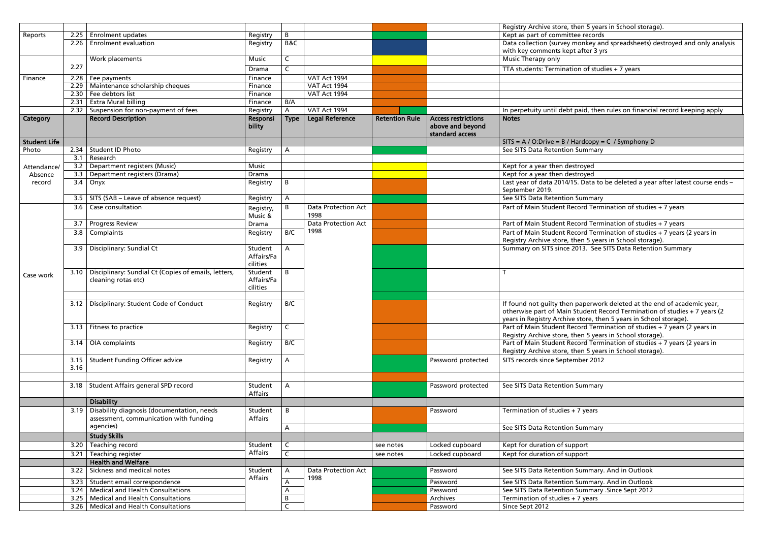|                     |              |                                                                                      |                                   |              |                                    |                       |                                     | Registry Archive store, then 5 year                                                                            |
|---------------------|--------------|--------------------------------------------------------------------------------------|-----------------------------------|--------------|------------------------------------|-----------------------|-------------------------------------|----------------------------------------------------------------------------------------------------------------|
| Reports             | 2.25         | <b>Enrolment updates</b>                                                             | Registry                          | B            |                                    |                       |                                     | Kept as part of committee records                                                                              |
|                     | 2.26         | <b>Enrolment evaluation</b>                                                          | Registry                          | B&C          |                                    |                       |                                     | Data collection (survey monkey ar<br>with key comments kept after 3 yr                                         |
|                     |              | Work placements                                                                      | Music                             | C            |                                    |                       |                                     | Music Therapy only                                                                                             |
|                     | 2.27         |                                                                                      |                                   | $\mathsf{C}$ |                                    |                       |                                     | TTA students: Termination of stud                                                                              |
|                     |              |                                                                                      | Drama                             |              |                                    |                       |                                     |                                                                                                                |
| Finance             | 2.28         | Fee payments                                                                         | Finance                           |              | VAT Act 1994                       |                       |                                     |                                                                                                                |
|                     | 2.29         | Maintenance scholarship cheques                                                      | Finance                           |              | VAT Act 1994                       |                       |                                     |                                                                                                                |
|                     | 2.30         | Fee debtors list                                                                     | Finance                           |              | VAT Act 1994                       |                       |                                     |                                                                                                                |
|                     | 2.31<br>2.32 | <b>Extra Mural billing</b><br>Suspension for non-payment of fees                     | Finance                           | B/A          | VAT Act 1994                       |                       |                                     |                                                                                                                |
|                     |              | <b>Record Description</b>                                                            | Registry                          | A            |                                    |                       | <b>Access restrictions</b>          | In perpetuity until debt paid, then<br><b>Notes</b>                                                            |
| Category            |              |                                                                                      | Responsi<br>bility                | <b>Type</b>  | <b>Legal Reference</b>             | <b>Retention Rule</b> | above and beyond<br>standard access |                                                                                                                |
| <b>Student Life</b> |              |                                                                                      |                                   |              |                                    |                       |                                     | $SITS = A / O:Drive = B / Hardcopy =$                                                                          |
| Photo               | 2.34         | Student ID Photo                                                                     | Registry                          | A            |                                    |                       |                                     | See SITS Data Retention Summary                                                                                |
|                     | 3.1          | Research                                                                             |                                   |              |                                    |                       |                                     |                                                                                                                |
| Attendance/         | 3.2          | Department registers (Music)                                                         | Music                             |              |                                    |                       |                                     | Kept for a year then destroyed                                                                                 |
| Absence             | 3.3          | Department registers (Drama)                                                         | Drama                             |              |                                    |                       |                                     | Kept for a year then destroyed                                                                                 |
| record              | 3.4          | Onyx                                                                                 | Registry                          | B            |                                    |                       |                                     | Last year of data 2014/15. Data to                                                                             |
|                     |              |                                                                                      |                                   |              |                                    |                       |                                     | September 2019.                                                                                                |
|                     | 3.5          | SITS (SAB - Leave of absence request)                                                | Registry                          | A            |                                    |                       |                                     | See SITS Data Retention Summary                                                                                |
|                     | 3.6          | Case consultation                                                                    | Registry,<br>Music &              | B            | <b>Data Protection Act</b><br>1998 |                       |                                     | Part of Main Student Record Term                                                                               |
|                     | 3.7          | <b>Progress Review</b>                                                               | Drama                             |              | Data Protection Act                |                       |                                     | Part of Main Student Record Term                                                                               |
|                     | 3.8          | Complaints                                                                           | Registry                          | B/C          | 1998                               |                       |                                     | Part of Main Student Record Term<br>Registry Archive store, then 5 year                                        |
|                     | 3.9          | Disciplinary: Sundial Ct                                                             | Student<br>Affairs/Fa<br>cilities | A            |                                    |                       |                                     | Summary on SITS since 2013. See:                                                                               |
| Case work           | 3.10         | Disciplinary: Sundial Ct (Copies of emails, letters,<br>cleaning rotas etc)          | Student<br>Affairs/Fa<br>cilities | B            |                                    |                       |                                     | T                                                                                                              |
|                     | 3.12         | Disciplinary: Student Code of Conduct                                                | Registry                          | B/C          |                                    |                       |                                     | If found not guilty then paperwor<br>otherwise part of Main Student Re<br>years in Registry Archive store, the |
|                     | 3.13         | Fitness to practice                                                                  | Registry                          | $\mathsf{C}$ |                                    |                       |                                     | Part of Main Student Record Term<br>Registry Archive store, then 5 year                                        |
|                     | 3.14         | OIA complaints                                                                       | Registry                          | B/C          |                                    |                       |                                     | Part of Main Student Record Term<br>Registry Archive store, then 5 year                                        |
|                     | 3.15<br>3.16 | <b>Student Funding Officer advice</b>                                                | Registry                          | A            |                                    |                       | Password protected                  | SITS records since September 2012                                                                              |
|                     | 3.18         | Student Affairs general SPD record                                                   | Student<br><b>Affairs</b>         | A            |                                    |                       | Password protected                  | See SITS Data Retention Summary                                                                                |
|                     |              | <b>Disability</b>                                                                    |                                   |              |                                    |                       |                                     |                                                                                                                |
|                     | 3.19         | Disability diagnosis (documentation, needs<br>assessment, communication with funding | Student<br>Affairs                | B            |                                    |                       | Password                            | Termination of studies + 7 years                                                                               |
|                     |              | agencies)                                                                            |                                   | A            |                                    |                       |                                     | See SITS Data Retention Summary                                                                                |
|                     |              | <b>Study Skills</b>                                                                  |                                   |              |                                    |                       |                                     |                                                                                                                |
|                     | 3.20         | Teaching record                                                                      | Student                           | $\mathsf C$  |                                    | see notes             | Locked cupboard                     | Kept for duration of support                                                                                   |
|                     | 3.21         | Teaching register                                                                    | <b>Affairs</b>                    | C            |                                    | see notes             | Locked cupboard                     | Kept for duration of support                                                                                   |
|                     |              | <b>Health and Welfare</b>                                                            |                                   |              |                                    |                       |                                     |                                                                                                                |
|                     | 3.22         | Sickness and medical notes                                                           | Student                           | A            | <b>Data Protection Act</b>         |                       | Password                            | See SITS Data Retention Summary.                                                                               |
|                     |              |                                                                                      | Affairs                           |              | 1998                               |                       |                                     |                                                                                                                |
|                     | 3.23         | Student email correspondence                                                         |                                   | А            |                                    |                       | Password                            | See SITS Data Retention Summary                                                                                |
|                     | 3.24         | <b>Medical and Health Consultations</b>                                              |                                   | A            |                                    |                       | Password                            | See SITS Data Retention Summary                                                                                |
|                     | 3.25         | <b>Medical and Health Consultations</b>                                              |                                   | B            |                                    |                       | Archives                            | Termination of studies + 7 years                                                                               |
|                     | 3.26         | <b>Medical and Health Consultations</b>                                              |                                   | $\mathsf C$  |                                    |                       | Password                            | Since Sept 2012                                                                                                |

hen 5 years in School storage).

monkey and spreadsheets) destroyed and only analysis t after 3 yrs

ion of studies + 7 years

paid, then rules on financial record keeping apply

 $Hardcopy = C / Symphony D$ 

5. Data to be deleted a year after latest course ends –

Part of Termination of studies + 7 years

Part of Termination of studies + 7 years

Ecord Termination of studies + 7 years (2 years in hen 5 years in School storage).

2013. See SITS Data Retention Summary

paperwork deleted at the end of academic year, Student Record Termination of studies + 7 years (2 e store, then 5 years in School storage). ecord Termination of studies + 7 years (2 years in hen 5 years in School storage). Ecord Termination of studies + 7 years (2 years in hen 5 years in School storage).

Summary. And in Outlook

Summary. And in Outlook Summary .Since Sept 2012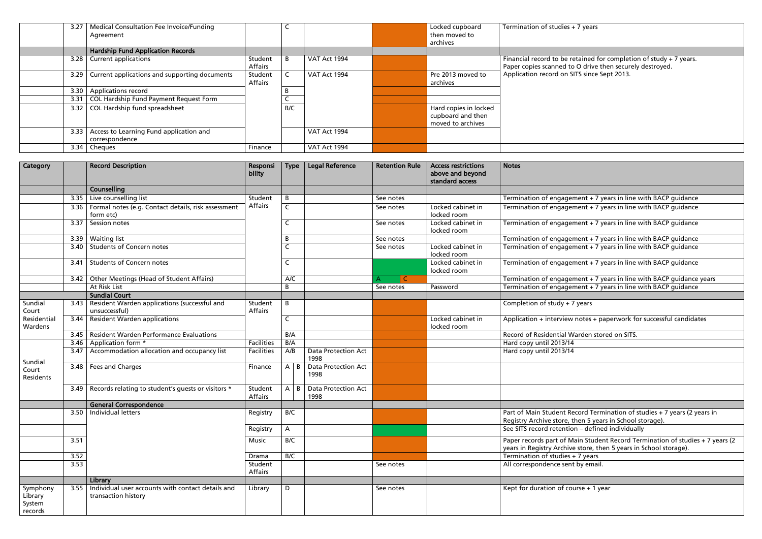| 3.27 | Medical Consultation Fee Invoice/Funding<br>Agreement     |                    |     |              | Locked cupboard<br>then moved to<br>archives                    | Termination of studies + 7 years                                                                                               |
|------|-----------------------------------------------------------|--------------------|-----|--------------|-----------------------------------------------------------------|--------------------------------------------------------------------------------------------------------------------------------|
|      | <b>Hardship Fund Application Records</b>                  |                    |     |              |                                                                 |                                                                                                                                |
| 3.28 | <b>Current applications</b>                               | Student<br>Affairs | -B  | VAT Act 1994 |                                                                 | Financial record to be retained for completion of study + 7 years.<br>Paper copies scanned to O drive then securely destroyed. |
| 3.29 | Current applications and supporting documents             | Student<br>Affairs |     | VAT Act 1994 | Pre 2013 moved to<br>archives                                   | Application record on SITS since Sept 2013.                                                                                    |
| 3.30 | Applications record                                       |                    |     |              |                                                                 |                                                                                                                                |
| 3.31 | COL Hardship Fund Payment Request Form                    |                    |     |              |                                                                 |                                                                                                                                |
| 3.32 | COL Hardship fund spreadsheet                             |                    | B/C |              | Hard copies in locked<br>cupboard and then<br>moved to archives |                                                                                                                                |
| 3.33 | Access to Learning Fund application and<br>correspondence |                    |     | VAT Act 1994 |                                                                 |                                                                                                                                |
| 3.34 | Cheques                                                   | Finance            |     | VAT Act 1994 |                                                                 |                                                                                                                                |

| Financial record to be retained for completion of study $+7$ years.<br>Paper copies scanned to O drive then securely destroyed.<br>Application record on SITS since Sept 2013. |
|--------------------------------------------------------------------------------------------------------------------------------------------------------------------------------|
|                                                                                                                                                                                |
|                                                                                                                                                                                |
|                                                                                                                                                                                |
|                                                                                                                                                                                |
| <b>Notes</b>                                                                                                                                                                   |
|                                                                                                                                                                                |
| Termination of engagement + 7 years in line with BACP guidance                                                                                                                 |
| Termination of engagement + 7 years in line with BACP guidance                                                                                                                 |
| Termination of engagement + 7 years in line with BACP guidance                                                                                                                 |
| Termination of engagement + 7 years in line with BACP guidance                                                                                                                 |
| Termination of engagement + 7 years in line with BACP guidance                                                                                                                 |
| Termination of engagement + 7 years in line with BACP guidance                                                                                                                 |
| Termination of engagement + 7 years in line with BACP guidance years                                                                                                           |
| Termination of engagement + 7 years in line with BACP quidance                                                                                                                 |
| Completion of study + 7 years                                                                                                                                                  |
|                                                                                                                                                                                |
| Application + interview notes + paperwork for successful candidates                                                                                                            |
| Record of Residential Warden stored on SITS.                                                                                                                                   |
| Hard copy until 2013/14<br>Hard copy until 2013/14                                                                                                                             |
|                                                                                                                                                                                |
|                                                                                                                                                                                |
|                                                                                                                                                                                |
|                                                                                                                                                                                |
| Part of Main Student Record Termination of studies + 7 years (2 years in<br>Registry Archive store, then 5 years in School storage).                                           |
| See SITS record retention - defined individually                                                                                                                               |
| Paper records part of Main Student Record Termination of studies + 7 years (2<br>years in Registry Archive store, then 5 years in School storage).                             |
| Termination of studies + 7 years                                                                                                                                               |
| All correspondence sent by email.                                                                                                                                              |
| Kept for duration of course + 1 year                                                                                                                                           |
|                                                                                                                                                                                |

| Category                                 |      | <b>Record Description</b>                                                | Responsi<br>bility        | <b>Type</b>         | <b>Legal Reference</b>             | <b>Retention Rule</b> | <b>Access restrictions</b><br>above and beyond<br>standard access | <b>Notes</b>                                                                                                                                       |
|------------------------------------------|------|--------------------------------------------------------------------------|---------------------------|---------------------|------------------------------------|-----------------------|-------------------------------------------------------------------|----------------------------------------------------------------------------------------------------------------------------------------------------|
|                                          |      | <b>Counselling</b>                                                       |                           |                     |                                    |                       |                                                                   |                                                                                                                                                    |
|                                          | 3.35 | Live counselling list                                                    | Student                   | B                   |                                    | See notes             |                                                                   | Termination of engagement + 7 years in line with BACP guidance                                                                                     |
|                                          | 3.36 | Formal notes (e.g. Contact details, risk assessment<br>form etc)         | Affairs                   | $\mathsf{C}$        |                                    | See notes             | Locked cabinet in<br>locked room                                  | Termination of engagement + 7 years in line with BACP guidance                                                                                     |
|                                          | 3.37 | Session notes                                                            |                           | C                   |                                    | See notes             | Locked cabinet in<br>locked room                                  | Termination of engagement + 7 years in line with BACP guidance                                                                                     |
|                                          | 3.39 | <b>Waiting list</b>                                                      |                           | B                   |                                    | See notes             |                                                                   | Termination of engagement + 7 years in line with BACP guidance                                                                                     |
|                                          | 3.40 | <b>Students of Concern notes</b>                                         |                           | $\overline{C}$      |                                    | See notes             | Locked cabinet in<br>locked room                                  | Termination of engagement + 7 years in line with BACP guidance                                                                                     |
|                                          | 3.41 | <b>Students of Concern notes</b>                                         |                           | C                   |                                    |                       | Locked cabinet in<br>locked room                                  | Termination of engagement + 7 years in line with BACP guidance                                                                                     |
|                                          | 3.42 | Other Meetings (Head of Student Affairs)                                 |                           | A/C                 |                                    | $\subset$             |                                                                   | Termination of engagement + 7 years in line with BACP guidance years                                                                               |
|                                          |      | At Risk List                                                             |                           | B                   |                                    | See notes             | Password                                                          | Termination of engagement + 7 years in line with BACP guidance                                                                                     |
|                                          |      | <b>Sundial Court</b>                                                     |                           |                     |                                    |                       |                                                                   |                                                                                                                                                    |
| Sundial<br>Court                         | 3.43 | Resident Warden applications (successful and<br>unsuccessful)            | Student<br>Affairs        | B                   |                                    |                       |                                                                   | Completion of study $+7$ years                                                                                                                     |
| Residential<br>Wardens                   | 3.44 | <b>Resident Warden applications</b>                                      |                           | C                   |                                    |                       | Locked cabinet in<br>locked room                                  | Application + interview notes + paperwork for successful candidates                                                                                |
|                                          | 3.45 | Resident Warden Performance Evaluations                                  |                           | B/A                 |                                    |                       |                                                                   | Record of Residential Warden stored on SITS.                                                                                                       |
|                                          | 3.46 | Application form *                                                       | <b>Facilities</b>         | B/A                 |                                    |                       |                                                                   | Hard copy until 2013/14                                                                                                                            |
| Sundial                                  | 3.47 | Accommodation allocation and occupancy list                              | <b>Facilities</b>         | A/B                 | <b>Data Protection Act</b><br>1998 |                       |                                                                   | Hard copy until 2013/14                                                                                                                            |
| Court<br>Residents                       | 3.48 | Fees and Charges                                                         | Finance                   | $A \mid B$          | <b>Data Protection Act</b><br>1998 |                       |                                                                   |                                                                                                                                                    |
|                                          | 3.49 | Records relating to student's guests or visitors *                       | Student<br><b>Affairs</b> | A<br>$\overline{B}$ | <b>Data Protection Act</b><br>1998 |                       |                                                                   |                                                                                                                                                    |
|                                          |      | <b>General Correspondence</b>                                            |                           |                     |                                    |                       |                                                                   |                                                                                                                                                    |
|                                          | 3.50 | Individual letters                                                       | Registry                  | B/C                 |                                    |                       |                                                                   | Part of Main Student Record Termination of studies + 7 years (2 years in<br>Registry Archive store, then 5 years in School storage).               |
|                                          |      |                                                                          | Registry                  | A                   |                                    |                       |                                                                   | See SITS record retention - defined individually                                                                                                   |
|                                          | 3.51 |                                                                          | <b>Music</b>              | B/C                 |                                    |                       |                                                                   | Paper records part of Main Student Record Termination of studies + 7 years (2<br>years in Registry Archive store, then 5 years in School storage). |
|                                          | 3.52 |                                                                          | Drama                     | B/C                 |                                    |                       |                                                                   | Termination of studies + 7 years                                                                                                                   |
|                                          | 3.53 |                                                                          | Student<br>Affairs        |                     |                                    | See notes             |                                                                   | All correspondence sent by email.                                                                                                                  |
|                                          |      | Library                                                                  |                           |                     |                                    |                       |                                                                   |                                                                                                                                                    |
| Symphony<br>Library<br>System<br>records | 3.55 | Individual user accounts with contact details and<br>transaction history | Library                   | D                   |                                    | See notes             |                                                                   | Kept for duration of course + 1 year                                                                                                               |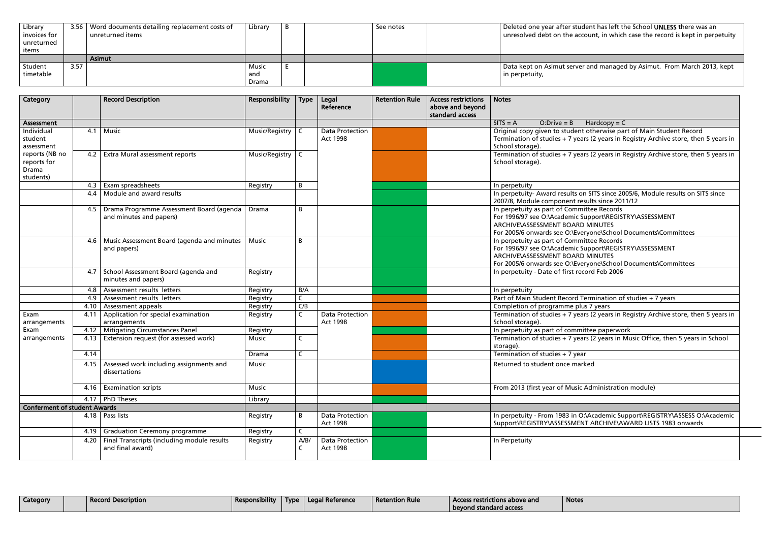| Library<br>invoices for<br>unreturned<br>items |      | 3.56   Word documents detailing replacement costs of<br>unreturned items | Library               | B | See notes | Deleted one year after st<br>unresolved debt on the a |
|------------------------------------------------|------|--------------------------------------------------------------------------|-----------------------|---|-----------|-------------------------------------------------------|
|                                                |      | <b>Asimut</b>                                                            |                       |   |           |                                                       |
| Student<br>timetable                           | 3.57 |                                                                          | Music<br>and<br>Drama |   |           | Data kept on Asimut ser<br>in perpetuity,             |

| Category                                            |      | <b>Record Description</b>                                           | Responsibility   | <b>Type</b>  | Legal<br>Reference                        | <b>Retention Rule</b> | <b>Access restrictions</b><br>above and beyond<br>standard access | <b>Notes</b>                                                                                                                                                                  |
|-----------------------------------------------------|------|---------------------------------------------------------------------|------------------|--------------|-------------------------------------------|-----------------------|-------------------------------------------------------------------|-------------------------------------------------------------------------------------------------------------------------------------------------------------------------------|
| Assessment                                          |      |                                                                     |                  |              |                                           |                       |                                                                   | $SITS = A$<br>$O: Drive = B$<br>$Hardcopy = C$                                                                                                                                |
| Individual<br>student<br>assessment                 | 4.1  | <b>Music</b>                                                        | Music/Registry   | C.           | <b>Data Protection</b><br>Act 1998        |                       |                                                                   | Original copy given to student otherwise part<br>Termination of studies + 7 years (2 years in Re<br>School storage).                                                          |
| reports (NB no<br>reports for<br>Drama<br>students) | 4.2  | Extra Mural assessment reports                                      | Music/Registry C |              |                                           |                       |                                                                   | Termination of studies + 7 years (2 years in Re<br>School storage).                                                                                                           |
|                                                     | 4.3  | Exam spreadsheets                                                   | Registry         | B            |                                           |                       |                                                                   | In perpetuity                                                                                                                                                                 |
|                                                     | 4.4  | Module and award results                                            |                  |              |                                           |                       |                                                                   | In perpetuity- Award results on SITS since 200!<br>2007/8, Module component results since 2011/                                                                               |
|                                                     | 4.5  | Drama Programme Assessment Board (agenda<br>and minutes and papers) | Drama            | B            |                                           |                       |                                                                   | In perpetuity as part of Committee Records<br>For 1996/97 see O:\Academic Support\REGISTR<br>ARCHIVE\ASSESSMENT BOARD MINUTES<br>For 2005/6 onwards see O:\Everyone\School Do |
|                                                     | 4.6  | Music Assessment Board (agenda and minutes<br>and papers)           | Music            | B            |                                           |                       |                                                                   | In perpetuity as part of Committee Records<br>For 1996/97 see O:\Academic Support\REGISTR<br>ARCHIVE\ASSESSMENT BOARD MINUTES<br>For 2005/6 onwards see O:\Everyone\School Do |
|                                                     | 4.7  | School Assessment Board (agenda and<br>minutes and papers)          | Registry         |              |                                           |                       |                                                                   | In perpetuity - Date of first record Feb 2006                                                                                                                                 |
|                                                     | 4.8  | Assessment results letters                                          | Registry         | B/A          |                                           |                       |                                                                   | In perpetuity                                                                                                                                                                 |
|                                                     | 4.9  | Assessment results letters                                          | Registry         | $\mathsf C$  |                                           |                       |                                                                   | Part of Main Student Record Termination of st                                                                                                                                 |
|                                                     | 4.10 | Assessment appeals                                                  | Registry         | C/B          |                                           |                       |                                                                   | Completion of programme plus 7 years                                                                                                                                          |
| Exam<br>arrangements                                | 4.11 | Application for special examination<br>arrangements                 | Registry         | $\mathsf{C}$ | <b>Data Protection</b><br><b>Act 1998</b> |                       |                                                                   | Termination of studies + 7 years (2 years in Re<br>School storage).                                                                                                           |
| Exam                                                | 4.12 | <b>Mitigating Circumstances Panel</b>                               | Registry         |              |                                           |                       |                                                                   | In perpetuity as part of committee paperwork                                                                                                                                  |
| arrangements                                        | 4.13 | Extension request (for assessed work)                               | <b>Music</b>     | $\mathsf{C}$ |                                           |                       |                                                                   | Termination of studies + 7 years (2 years in Mu<br>storage).                                                                                                                  |
|                                                     | 4.14 |                                                                     | Drama            | $\mathsf{C}$ |                                           |                       |                                                                   | Termination of studies $+7$ year                                                                                                                                              |
|                                                     | 4.15 | Assessed work including assignments and<br>dissertations            | <b>Music</b>     |              |                                           |                       |                                                                   | Returned to student once marked                                                                                                                                               |
|                                                     | 4.16 | <b>Examination scripts</b>                                          | Music            |              |                                           |                       |                                                                   | From 2013 (first year of Music Administration                                                                                                                                 |
|                                                     |      | 4.17   PhD Theses                                                   | Library          |              |                                           |                       |                                                                   |                                                                                                                                                                               |
| <b>Conferment of student Awards</b>                 |      |                                                                     |                  |              |                                           |                       |                                                                   |                                                                                                                                                                               |
|                                                     | 4.18 | Pass lists                                                          | Registry         | B            | <b>Data Protection</b><br><b>Act 1998</b> |                       |                                                                   | In perpetuity - From 1983 in O:\Academic Supp<br>Support\REGISTRY\ASSESSMENT ARCHIVE\AW.                                                                                      |
|                                                     | 4.19 | <b>Graduation Ceremony programme</b>                                | Registry         | $\mathsf{C}$ |                                           |                       |                                                                   |                                                                                                                                                                               |
|                                                     | 4.20 | Final Transcripts (including module results<br>and final award)     | Registry         | A/B/<br>C    | <b>Data Protection</b><br>Act 1998        |                       |                                                                   | In Perpetuity                                                                                                                                                                 |

| <b>Category</b> | .<br>' Record Description | Responsibility | Type | Legal Reference | <b>Retention Rule</b> | . Access restrictions above and | <b>Notes</b> |
|-----------------|---------------------------|----------------|------|-----------------|-----------------------|---------------------------------|--------------|
|                 |                           |                |      |                 |                       | l bevond standard access        |              |

#### tudent has left the School UNLESS there was an account, in which case the record is kept in perpetuity

## ver and managed by Asimut. From March 2013, kept

ent otherwise part of Main Student Record ears (2 years in Registry Archive store, then 5 years in

ears (2 years in Registry Archive store, then 5 years in

 $\frac{4}{5}$  on SITS since 2005/6, Module results on SITS since 2011/12 results since 2011 nmittee Records c Support\REGISTRY\ASSESSMENT .sespportants<br>ARD MINUTES Everyone\School Documents\Committees n mittee Records ic Support\REGISTRY\ASSESSMENT RD MINUTES Everyone\School Documents\Committees

d Termination of studies + 7 years<br>plus 7 years

years (2 years in Registry Archive store, then 5 years in

ears (2 years in Music Office, then 5 years in School

sic Administration module)

O:\Academic Support\REGISTRY\ASSESS O:\Academic IENT ARCHIVE\AWARD LISTS 1983 onwards